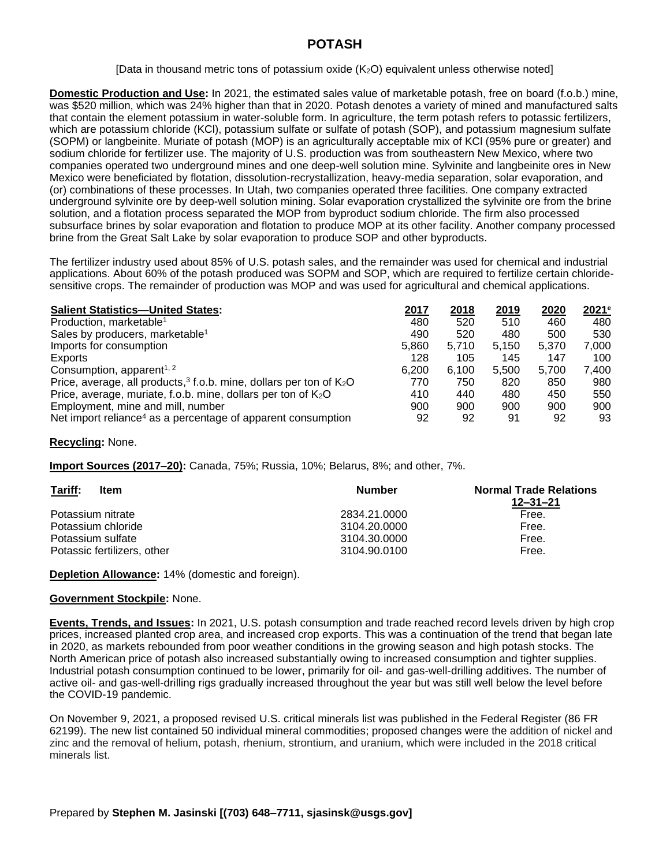## **POTASH**

[Data in thousand metric tons of potassium oxide  $(K_2O)$  equivalent unless otherwise noted]

**Domestic Production and Use:** In 2021, the estimated sales value of marketable potash, free on board (f.o.b.) mine, was \$520 million, which was 24% higher than that in 2020. Potash denotes a variety of mined and manufactured salts that contain the element potassium in water-soluble form. In agriculture, the term potash refers to potassic fertilizers, which are potassium chloride (KCl), potassium sulfate or sulfate of potash (SOP), and potassium magnesium sulfate (SOPM) or langbeinite. Muriate of potash (MOP) is an agriculturally acceptable mix of KCl (95% pure or greater) and sodium chloride for fertilizer use. The majority of U.S. production was from southeastern New Mexico, where two companies operated two underground mines and one deep-well solution mine. Sylvinite and langbeinite ores in New Mexico were beneficiated by flotation, dissolution-recrystallization, heavy-media separation, solar evaporation, and (or) combinations of these processes. In Utah, two companies operated three facilities. One company extracted underground sylvinite ore by deep-well solution mining. Solar evaporation crystallized the sylvinite ore from the brine solution, and a flotation process separated the MOP from byproduct sodium chloride. The firm also processed subsurface brines by solar evaporation and flotation to produce MOP at its other facility. Another company processed brine from the Great Salt Lake by solar evaporation to produce SOP and other byproducts.

The fertilizer industry used about 85% of U.S. potash sales, and the remainder was used for chemical and industrial applications. About 60% of the potash produced was SOPM and SOP, which are required to fertilize certain chloridesensitive crops. The remainder of production was MOP and was used for agricultural and chemical applications.

| <b>Salient Statistics-United States:</b>                                 | 2017  | 2018  | 2019  | 2020  | 2021e |
|--------------------------------------------------------------------------|-------|-------|-------|-------|-------|
| Production, marketable <sup>1</sup>                                      | 480   | 520   | 510   | 460   | 480   |
| Sales by producers, marketable <sup>1</sup>                              | 490   | 520   | 480   | 500   | 530   |
| Imports for consumption                                                  | 5.860 | 5.710 | 5.150 | 5.370 | 7.000 |
| Exports                                                                  | 128   | 105   | 145   | 147   | 100   |
| Consumption, apparent <sup>1, 2</sup>                                    | 6.200 | 6.100 | 5.500 | 5.700 | 7.400 |
| Price, average, all products, $3$ f.o.b. mine, dollars per ton of $K_2O$ | 770   | 750   | 820   | 850   | 980   |
| Price, average, muriate, f.o.b. mine, dollars per ton of $K_2O$          | 410   | 440   | 480   | 450   | 550   |
| Employment, mine and mill, number                                        | 900   | 900   | 900   | 900   | 900   |
| Net import reliance <sup>4</sup> as a percentage of apparent consumption | 92    | 92    | 91    | 92    | 93    |

## **Recycling:** None.

**Import Sources (2017–20):** Canada, 75%; Russia, 10%; Belarus, 8%; and other, 7%.

| Tariff:<br>Item             | <b>Number</b> | <b>Normal Trade Relations</b><br>$12 - 31 - 21$ |
|-----------------------------|---------------|-------------------------------------------------|
| Potassium nitrate           | 2834.21.0000  | Free.                                           |
| Potassium chloride          | 3104.20.0000  | Free.                                           |
| Potassium sulfate           | 3104.30.0000  | Free.                                           |
| Potassic fertilizers, other | 3104.90.0100  | Free.                                           |

**Depletion Allowance:** 14% (domestic and foreign).

## **Government Stockpile:** None.

**Events, Trends, and Issues:** In 2021, U.S. potash consumption and trade reached record levels driven by high crop prices, increased planted crop area, and increased crop exports. This was a continuation of the trend that began late in 2020, as markets rebounded from poor weather conditions in the growing season and high potash stocks. The North American price of potash also increased substantially owing to increased consumption and tighter supplies. Industrial potash consumption continued to be lower, primarily for oil- and gas-well-drilling additives. The number of active oil- and gas-well-drilling rigs gradually increased throughout the year but was still well below the level before the COVID-19 pandemic.

On November 9, 2021, a proposed revised U.S. critical minerals list was published in the Federal Register (86 FR 62199). The new list contained 50 individual mineral commodities; proposed changes were the addition of nickel and zinc and the removal of helium, potash, rhenium, strontium, and uranium, which were included in the 2018 critical minerals list.